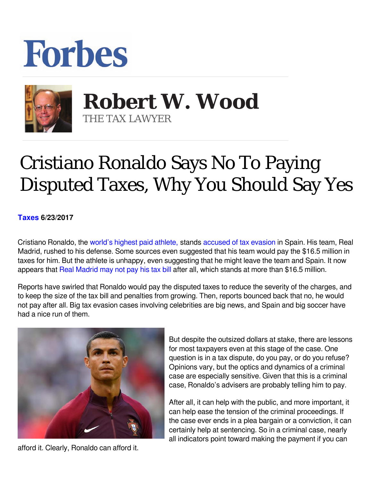



 **Robert W. Wood** THE TAX LAWYER

## Cristiano Ronaldo Says No To Paying Disputed Taxes, Why You Should Say Yes

## **[Taxes](https://www.forbes.com/taxes) 6/23/2017**

Cristiano Ronaldo, the [world's highest paid athlete,](https://www.forbes.com/athletes/list/) stands [accused of tax evasion](https://www.reuters.com/article/us-soccer-taxation-ronaldo-idUSKBN1942RJ) in Spain. His team, Real Madrid, rushed to his defense. Some sources even suggested that his team would pay the \$16.5 million in taxes for him. But the athlete is unhappy, even suggesting that he might leave the team and Spain. It now appears that [Real Madrid may not pay his tax bill](https://www.google.com/url?sa=t&rct=j&q=&esrc=s&source=newssearch&cd=1&cad=rja&uact=8&ved=0ahUKEwjypfGyhMbUAhWDrD4KHSXZDH4QqQIIISgAMAA&url=https://www.thesun.co.uk/sport/football/3823352/real-madrid-ready-to-pay-cristiano-ronaldos-tax-bill-to-keep-him-at-the-club-and-fend-off-manchester-united/&usg=AFQjCNEgcTOZVy24l-QbirfAvqVVSdJvTw) after all, which stands at more than \$16.5 million.

Reports have swirled that Ronaldo would pay the disputed taxes to reduce the severity of the charges, and to keep the size of the tax bill and penalties from growing. Then, reports bounced back that no, he would not pay after all. Big tax evasion cases involving celebrities are big news, and Spain and big soccer have had a nice run of them.



afford it. Clearly, Ronaldo can afford it.

But despite the outsized dollars at stake, there are lessons for most taxpayers even at this stage of the case. One question is in a tax dispute, do you pay, or do you refuse? Opinions vary, but the optics and dynamics of a criminal case are especially sensitive. Given that this is a criminal case, Ronaldo's advisers are probably telling him to pay.

After all, it can help with the public, and more important, it can help ease the tension of the criminal proceedings. If the case ever ends in a plea bargain or a conviction, it can certainly help at sentencing. So in a criminal case, nearly all indicators point toward making the payment if you can